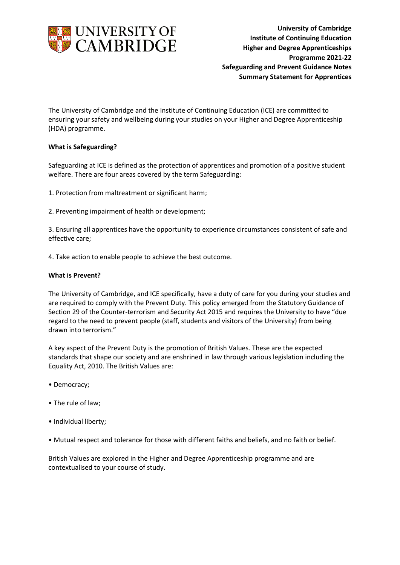

 **University of Cambridge Institute of Continuing Education Higher and Degree Apprenticeships Programme 2021-22 Safeguarding and Prevent Guidance Notes Summary Statement for Apprentices**

The University of Cambridge and the Institute of Continuing Education (ICE) are committed to ensuring your safety and wellbeing during your studies on your Higher and Degree Apprenticeship (HDA) programme.

## **What is Safeguarding?**

Safeguarding at ICE is defined as the protection of apprentices and promotion of a positive student welfare. There are four areas covered by the term Safeguarding:

1. Protection from maltreatment or significant harm;

2. Preventing impairment of health or development;

3. Ensuring all apprentices have the opportunity to experience circumstances consistent of safe and effective care;

4. Take action to enable people to achieve the best outcome.

## **What is Prevent?**

The University of Cambridge, and ICE specifically, have a duty of care for you during your studies and are required to comply with the Prevent Duty. This policy emerged from the Statutory Guidance of Section 29 of the Counter-terrorism and Security Act 2015 and requires the University to have "due regard to the need to prevent people (staff, students and visitors of the University) from being drawn into terrorism."

A key aspect of the Prevent Duty is the promotion of British Values. These are the expected standards that shape our society and are enshrined in law through various legislation including the Equality Act, 2010. The British Values are:

- Democracy;
- The rule of law;
- Individual liberty;
- Mutual respect and tolerance for those with different faiths and beliefs, and no faith or belief.

British Values are explored in the Higher and Degree Apprenticeship programme and are contextualised to your course of study.